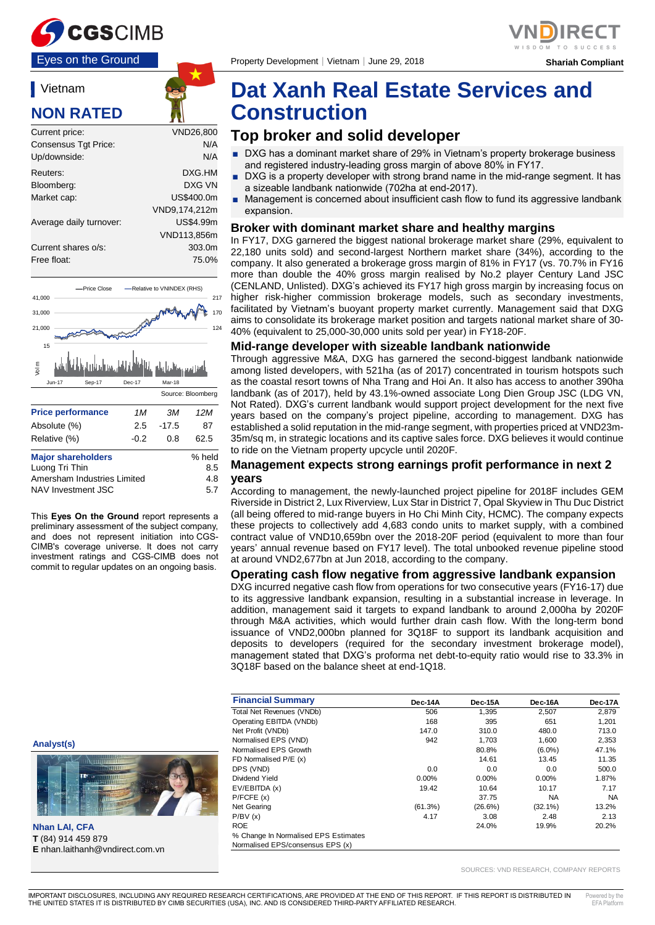

#### Vietnam

## **NON RATED**

| Current price:          | VND26.800     |
|-------------------------|---------------|
| Consensus Tgt Price:    | N/A           |
| Up/downside:            | N/A           |
| Reuters:                | DXG.HM        |
| Bloomberg:              | DXG VN        |
| Market cap:             | US\$400.0m    |
|                         | VND9,174,212m |
| Average daily turnover: | US\$4.99m     |
|                         | VND113.856m   |
| Current shares o/s:     | 303.0m        |
| Free float:             | 75.0%         |
|                         |               |



| <b>Major shareholders</b>   | % held |
|-----------------------------|--------|
| Luong Tri Thin              | 8.5    |
| Amersham Industries Limited | 4.8    |
| NAV Investment JSC          | 5.7    |
|                             |        |

This **Eyes On the Ground** report represents a preliminary assessment of the subject company, and does not represent initiation into CGS-CIMB's coverage universe. It does not carry investment ratings and CGS-CIMB does not commit to regular updates on an ongoing basis.

## **Dat Xanh Real Estate Services and Construction**

## **Top broker and solid developer**

- DXG has a dominant market share of 29% in Vietnam's property brokerage business and registered industry-leading gross margin of above 80% in FY17.
- DXG is a property developer with strong brand name in the mid-range segment. It has a sizeable landbank nationwide (702ha at end-2017).
- Management is concerned about insufficient cash flow to fund its aggressive landbank expansion.

#### **Broker with dominant market share and healthy margins**

In FY17, DXG garnered the biggest national brokerage market share (29%, equivalent to 22,180 units sold) and second-largest Northern market share (34%), according to the company. It also generated a brokerage gross margin of 81% in FY17 (vs. 70.7% in FY16 more than double the 40% gross margin realised by No.2 player Century Land JSC (CENLAND, Unlisted). DXG's achieved its FY17 high gross margin by increasing focus on higher risk-higher commission brokerage models, such as secondary investments, facilitated by Vietnam's buoyant property market currently. Management said that DXG aims to consolidate its brokerage market position and targets national market share of 30- 40% (equivalent to 25,000-30,000 units sold per year) in FY18-20F.

#### **Mid-range developer with sizeable landbank nationwide**

Through aggressive M&A, DXG has garnered the second-biggest landbank nationwide among listed developers, with 521ha (as of 2017) concentrated in tourism hotspots such as the coastal resort towns of Nha Trang and Hoi An. It also has access to another 390ha landbank (as of 2017), held by 43.1%-owned associate Long Dien Group JSC (LDG VN, Not Rated). DXG's current landbank would support project development for the next five years based on the company's project pipeline, according to management. DXG has established a solid reputation in the mid-range segment, with properties priced at VND23m-35m/sq m, in strategic locations and its captive sales force. DXG believes it would continue to ride on the Vietnam property upcycle until 2020F.

#### **Management expects strong earnings profit performance in next 2 years**

According to management, the newly-launched project pipeline for 2018F includes GEM Riverside in District 2, Lux Riverview, Lux Star in District 7, Opal Skyview in Thu Duc District (all being offered to mid-range buyers in Ho Chi Minh City, HCMC). The company expects these projects to collectively add 4,683 condo units to market supply, with a combined contract value of VND10,659bn over the 2018-20F period (equivalent to more than four years' annual revenue based on FY17 level). The total unbooked revenue pipeline stood at around VND2,677bn at Jun 2018, according to the company.

#### **Operating cash flow negative from aggressive landbank expansion**

DXG incurred negative cash flow from operations for two consecutive years (FY16-17) due to its aggressive landbank expansion, resulting in a substantial increase in leverage. In addition, management said it targets to expand landbank to around 2,000ha by 2020F through M&A activities, which would further drain cash flow. With the long-term bond issuance of VND2,000bn planned for 3Q18F to support its landbank acquisition and deposits to developers (required for the secondary investment brokerage model), management stated that DXG's proforma net debt-to-equity ratio would rise to 33.3% in 3Q18F based on the balance sheet at end-1Q18.

|                                                              | <b>Financial Summary</b>             | Dec-14A | Dec-15A    | Dec-16A    | Dec-17A   |
|--------------------------------------------------------------|--------------------------------------|---------|------------|------------|-----------|
|                                                              | Total Net Revenues (VNDb)            | 506     | 1,395      | 2,507      | 2,879     |
|                                                              | Operating EBITDA (VNDb)              | 168     | 395        | 651        | 1,201     |
|                                                              | Net Profit (VNDb)                    | 147.0   | 310.0      | 480.0      | 713.0     |
| Analyst(s)                                                   | Normalised EPS (VND)                 | 942     | 1,703      | 1,600      | 2,353     |
|                                                              | Normalised EPS Growth                |         | 80.8%      | $(6.0\%)$  | 47.1%     |
| 111111111111                                                 | FD Normalised P/E (x)                |         | 14.61      | 13.45      | 11.35     |
| TSTEEL                                                       | DPS (VND)                            | 0.0     | 0.0        | 0.0        | 500.0     |
| <b>THEFFEEL</b>                                              | Dividend Yield                       | 0.00%   | 0.00%      | 0.00%      | 1.87%     |
|                                                              | EV/EBITDA (x)                        | 19.42   | 10.64      | 10.17      | 7.17      |
|                                                              | P/FCFE(x)                            |         | 37.75      | <b>NA</b>  | <b>NA</b> |
|                                                              | Net Gearing                          | (61.3%) | $(26.6\%)$ | $(32.1\%)$ | 13.2%     |
|                                                              | P/BV(x)                              | 4.17    | 3.08       | 2.48       | 2.13      |
| Nhan LAI, CFA                                                | <b>ROE</b>                           |         | 24.0%      | 19.9%      | 20.2%     |
|                                                              | % Change In Normalised EPS Estimates |         |            |            |           |
| T (84) 914 459 879<br><b>E</b> nhan.laithanh@vndirect.com.vn | Normalised EPS/consensus EPS (x)     |         |            |            |           |
|                                                              |                                      |         |            |            |           |

SOURCES: VND RESEARCH, COMPANY REPORTS



**Nhan LAI, CFA T** (84) 914 459 879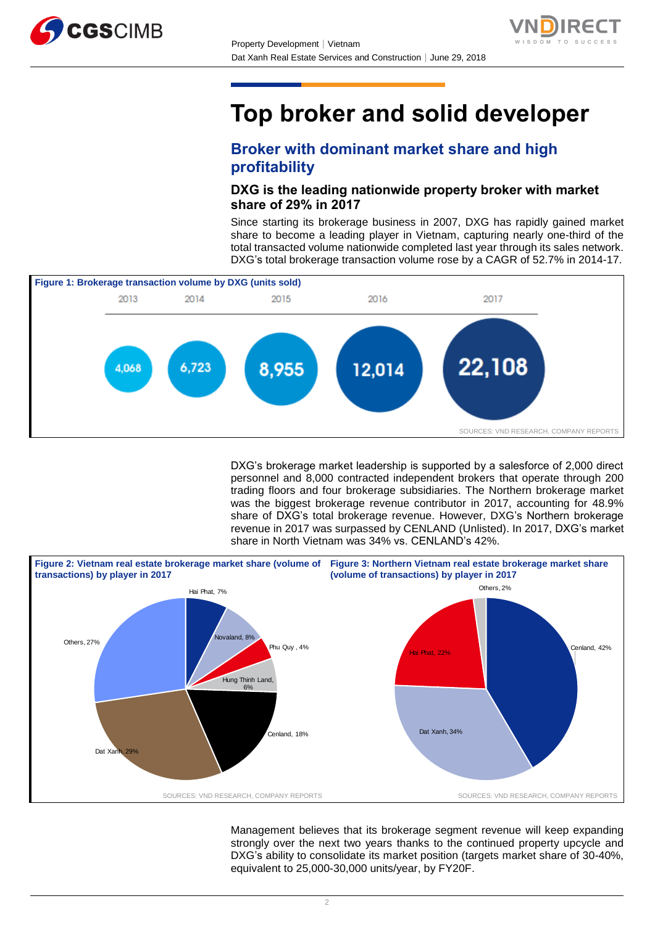



# **Top broker and solid developer**

## **Broker with dominant market share and high profitability**

## **DXG is the leading nationwide property broker with market share of 29% in 2017**

Since starting its brokerage business in 2007, DXG has rapidly gained market share to become a leading player in Vietnam, capturing nearly one-third of the total transacted volume nationwide completed last year through its sales network. DXG's total brokerage transaction volume rose by a CAGR of 52.7% in 2014-17.



DXG's brokerage market leadership is supported by a salesforce of 2,000 direct personnel and 8,000 contracted independent brokers that operate through 200 trading floors and four brokerage subsidiaries. The Northern brokerage market was the biggest brokerage revenue contributor in 2017, accounting for 48.9% share of DXG's total brokerage revenue. However, DXG's Northern brokerage revenue in 2017 was surpassed by CENLAND (Unlisted). In 2017, DXG's market share in North Vietnam was 34% vs. CENLAND's 42%.



Management believes that its brokerage segment revenue will keep expanding strongly over the next two years thanks to the continued property upcycle and DXG's ability to consolidate its market position (targets market share of 30-40%, equivalent to 25,000-30,000 units/year, by FY20F.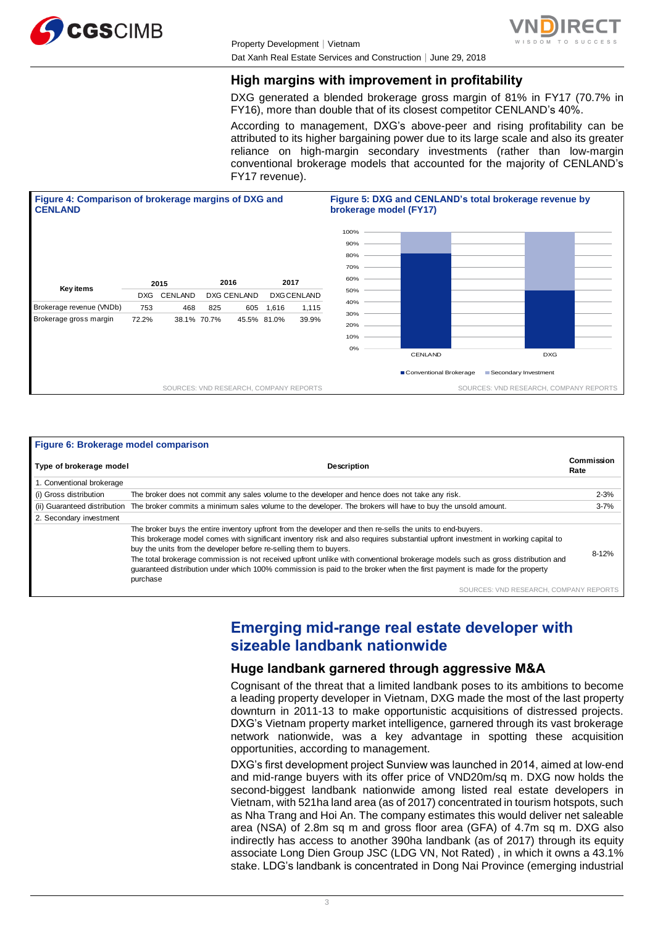



## **High margins with improvement in profitability**

DXG generated a blended brokerage gross margin of 81% in FY17 (70.7% in FY16), more than double that of its closest competitor CENLAND's 40%.

According to management, DXG's above-peer and rising profitability can be attributed to its higher bargaining power due to its large scale and also its greater reliance on high-margin secondary investments (rather than low-margin conventional brokerage models that accounted for the majority of CENLAND's FY17 revenue).



| Figure 6: Brokerage model comparison |                                                                                                                                                                                                                                                                                                                                                                                                                                                                                     |                    |
|--------------------------------------|-------------------------------------------------------------------------------------------------------------------------------------------------------------------------------------------------------------------------------------------------------------------------------------------------------------------------------------------------------------------------------------------------------------------------------------------------------------------------------------|--------------------|
| Type of brokerage model              | <b>Description</b>                                                                                                                                                                                                                                                                                                                                                                                                                                                                  | Commission<br>Rate |
| 1. Conventional brokerage            |                                                                                                                                                                                                                                                                                                                                                                                                                                                                                     |                    |
| (i) Gross distribution               | The broker does not commit any sales volume to the developer and hence does not take any risk.                                                                                                                                                                                                                                                                                                                                                                                      | $2 - 3%$           |
| (ii) Guaranteed distribution         | The broker commits a minimum sales volume to the developer. The brokers will have to buy the unsold amount.                                                                                                                                                                                                                                                                                                                                                                         | $3 - 7%$           |
| 2. Secondary investment              |                                                                                                                                                                                                                                                                                                                                                                                                                                                                                     |                    |
|                                      | The broker buys the entire inventory upfront from the developer and then re-sells the units to end-buyers.                                                                                                                                                                                                                                                                                                                                                                          |                    |
|                                      | This brokerage model comes with significant inventory risk and also requires substantial upfront investment in working capital to<br>buy the units from the developer before re-selling them to buyers.<br>The total brokerage commission is not received upfront unlike with conventional brokerage models such as gross distribution and<br>quaranteed distribution under which 100% commission is paid to the broker when the first payment is made for the property<br>purchase | 8-12%              |
|                                      | SOURCES: VND RESEARCH, COMPANY REPORTS                                                                                                                                                                                                                                                                                                                                                                                                                                              |                    |

## **Emerging mid-range real estate developer with sizeable landbank nationwide**

### **Huge landbank garnered through aggressive M&A**

Cognisant of the threat that a limited landbank poses to its ambitions to become a leading property developer in Vietnam, DXG made the most of the last property downturn in 2011-13 to make opportunistic acquisitions of distressed projects. DXG's Vietnam property market intelligence, garnered through its vast brokerage network nationwide, was a key advantage in spotting these acquisition opportunities, according to management.

DXG's first development project Sunview was launched in 2014, aimed at low-end and mid-range buyers with its offer price of VND20m/sq m. DXG now holds the second-biggest landbank nationwide among listed real estate developers in Vietnam, with 521ha land area (as of 2017) concentrated in tourism hotspots, such as Nha Trang and Hoi An. The company estimates this would deliver net saleable area (NSA) of 2.8m sq m and gross floor area (GFA) of 4.7m sq m. DXG also indirectly has access to another 390ha landbank (as of 2017) through its equity associate Long Dien Group JSC (LDG VN, Not Rated) , in which it owns a 43.1% stake. LDG's landbank is concentrated in Dong Nai Province (emerging industrial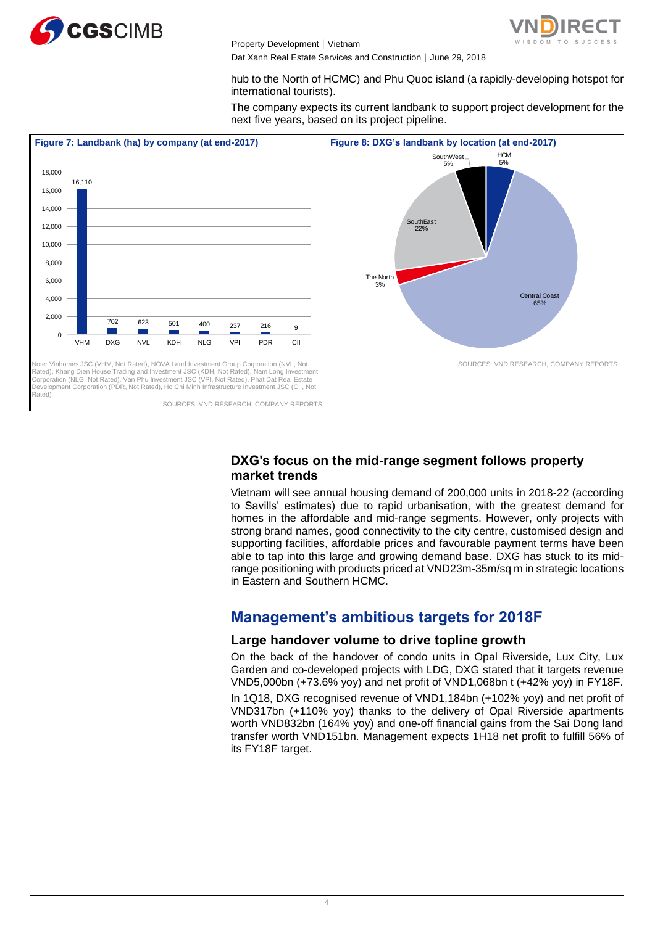

Property Development│Vietnam Dat Xanh Real Estate Services and Construction | June 29, 2018



hub to the North of HCMC) and Phu Quoc island (a rapidly-developing hotspot for international tourists).

The company expects its current landbank to support project development for the next five years, based on its project pipeline.



## **DXG's focus on the mid-range segment follows property market trends**

Vietnam will see annual housing demand of 200,000 units in 2018-22 (according to Savills' estimates) due to rapid urbanisation, with the greatest demand for homes in the affordable and mid-range segments. However, only projects with strong brand names, good connectivity to the city centre, customised design and supporting facilities, affordable prices and favourable payment terms have been able to tap into this large and growing demand base. DXG has stuck to its midrange positioning with products priced at VND23m-35m/sq m in strategic locations in Eastern and Southern HCMC.

## **Management's ambitious targets for 2018F**

## **Large handover volume to drive topline growth**

On the back of the handover of condo units in Opal Riverside, Lux City, Lux Garden and co-developed projects with LDG, DXG stated that it targets revenue VND5,000bn (+73.6% yoy) and net profit of VND1,068bn t (+42% yoy) in FY18F.

In 1Q18, DXG recognised revenue of VND1,184bn (+102% yoy) and net profit of VND317bn (+110% yoy) thanks to the delivery of Opal Riverside apartments worth VND832bn (164% yoy) and one-off financial gains from the Sai Dong land transfer worth VND151bn. Management expects 1H18 net profit to fulfill 56% of its FY18F target.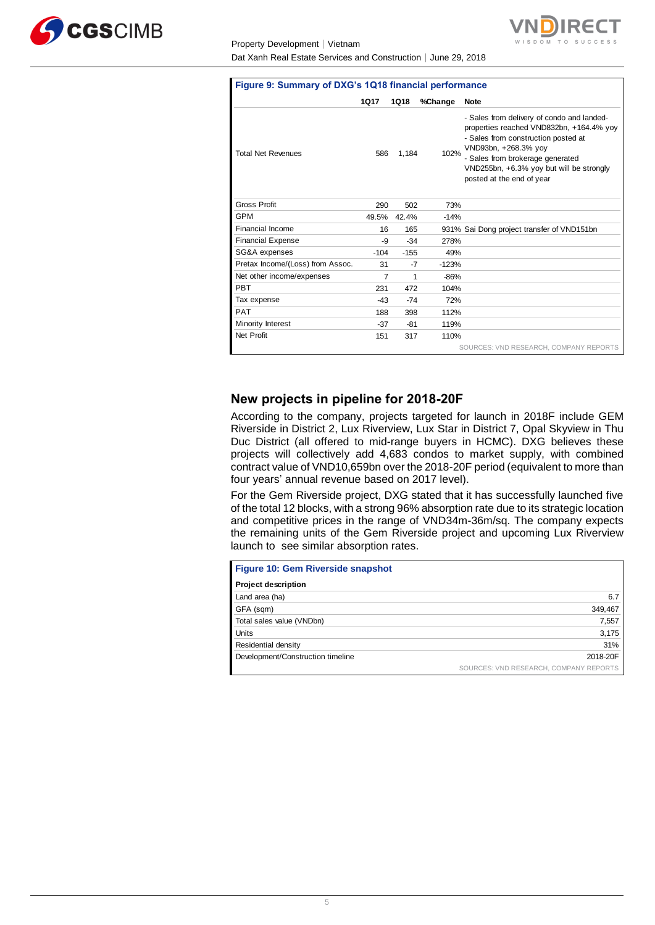

#### Property D Dat Xanh

| Figure 9: Summary of DXG's 1Q18 financial performance |             |             |         |                                                                                                                                                                                                                                                                    |  |  |  |  |  |
|-------------------------------------------------------|-------------|-------------|---------|--------------------------------------------------------------------------------------------------------------------------------------------------------------------------------------------------------------------------------------------------------------------|--|--|--|--|--|
|                                                       | <b>1Q17</b> | <b>1Q18</b> | %Change | <b>Note</b>                                                                                                                                                                                                                                                        |  |  |  |  |  |
| <b>Total Net Revenues</b>                             | 586         | 1,184       | 102%    | - Sales from delivery of condo and landed-<br>properties reached VND832bn, +164.4% yoy<br>- Sales from construction posted at<br>VND93bn, +268.3% yoy<br>- Sales from brokerage generated<br>VND255bn, +6.3% yoy but will be strongly<br>posted at the end of year |  |  |  |  |  |
| Gross Profit                                          | 290         | 502         | 73%     |                                                                                                                                                                                                                                                                    |  |  |  |  |  |
| <b>GPM</b>                                            | 49.5%       | 42.4%       | $-14%$  |                                                                                                                                                                                                                                                                    |  |  |  |  |  |
| Financial Income                                      | 16          | 165         |         | 931% Sai Dong project transfer of VND151bn                                                                                                                                                                                                                         |  |  |  |  |  |
| <b>Financial Expense</b>                              | -9          | $-34$       | 278%    |                                                                                                                                                                                                                                                                    |  |  |  |  |  |
| SG&A expenses                                         | $-104$      | $-155$      | 49%     |                                                                                                                                                                                                                                                                    |  |  |  |  |  |
| Pretax Income/(Loss) from Assoc.                      | 31          | -7          | $-123%$ |                                                                                                                                                                                                                                                                    |  |  |  |  |  |
| Net other income/expenses                             | 7           | 1           | $-86%$  |                                                                                                                                                                                                                                                                    |  |  |  |  |  |
| <b>PBT</b>                                            | 231         | 472         | 104%    |                                                                                                                                                                                                                                                                    |  |  |  |  |  |
| Tax expense                                           | $-43$       | $-74$       | 72%     |                                                                                                                                                                                                                                                                    |  |  |  |  |  |
| <b>PAT</b>                                            | 188         | 398         | 112%    |                                                                                                                                                                                                                                                                    |  |  |  |  |  |

SOURCES: VND RESEARCH, COMPANY REPORTS

**NDIRECT** 

### **New projects in pipeline for 2018-20F**

Minority Interest -37 -81 119% Net Profit 151 317 110%

According to the company, projects targeted for launch in 2018F include GEM Riverside in District 2, Lux Riverview, Lux Star in District 7, Opal Skyview in Thu Duc District (all offered to mid-range buyers in HCMC). DXG believes these projects will collectively add 4,683 condos to market supply, with combined contract value of VND10,659bn over the 2018-20F period (equivalent to more than four years' annual revenue based on 2017 level).

For the Gem Riverside project, DXG stated that it has successfully launched five of the total 12 blocks, with a strong 96% absorption rate due to its strategic location and competitive prices in the range of VND34m-36m/sq. The company expects the remaining units of the Gem Riverside project and upcoming Lux Riverview launch to see similar absorption rates.

| Figure 10: Gem Riverside snapshot |                                        |
|-----------------------------------|----------------------------------------|
| <b>Project description</b>        |                                        |
| Land area (ha)                    | 6.7                                    |
| GFA (sqm)                         | 349,467                                |
| Total sales value (VNDbn)         | 7,557                                  |
| Units                             | 3,175                                  |
| Residential density               | 31%                                    |
| Development/Construction timeline | 2018-20F                               |
|                                   | SOURCES: VND RESEARCH, COMPANY REPORTS |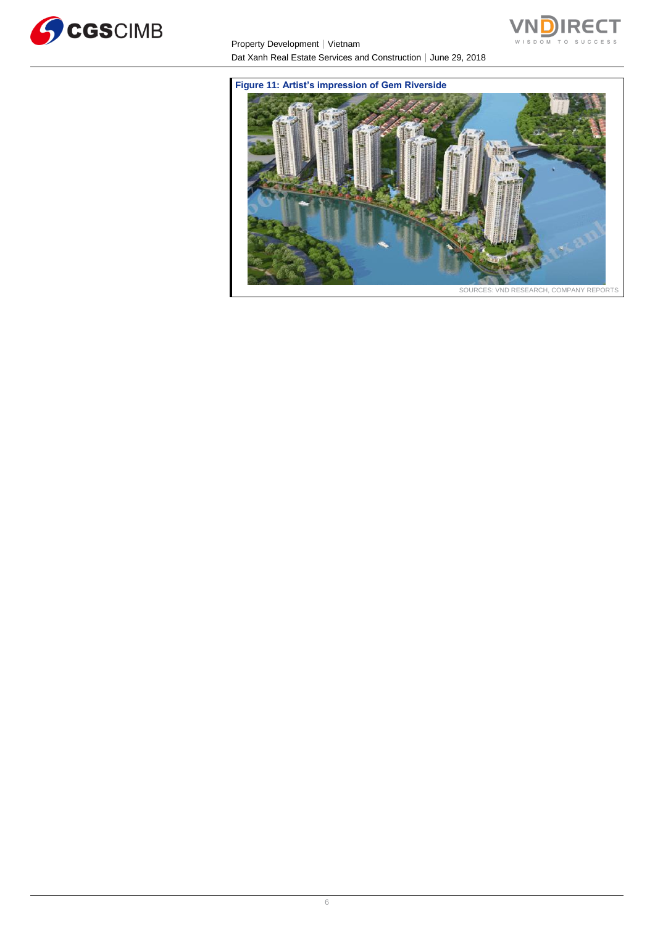

Property Development | Vietnam Dat Xanh Real Estate Services and Construction│June 29, 2018



**Figure 11: Artist's impression of Gem Riverside**

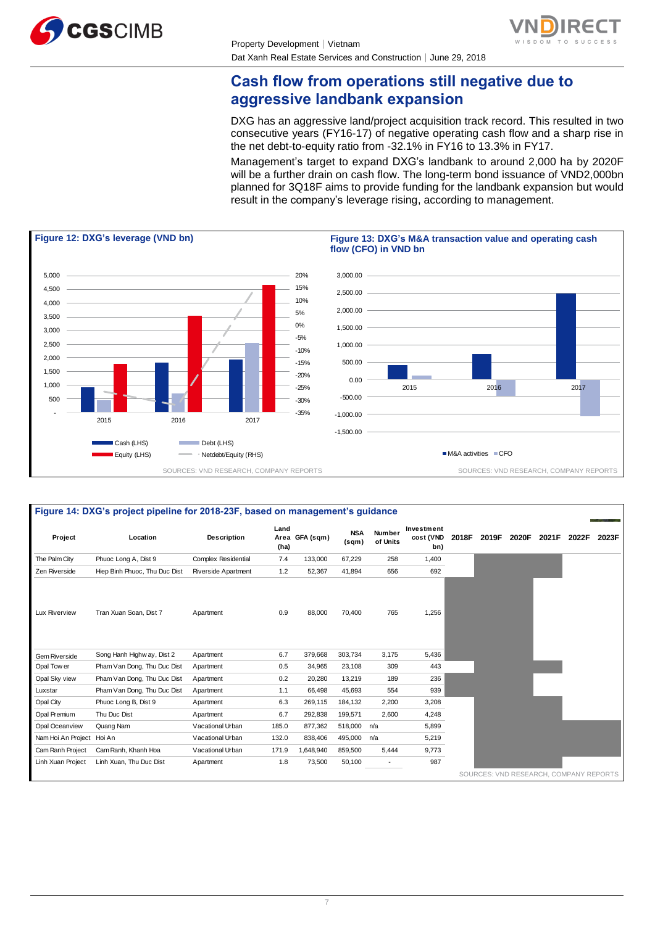



## **Cash flow from operations still negative due to aggressive landbank expansion**

DXG has an aggressive land/project acquisition track record. This resulted in two consecutive years (FY16-17) of negative operating cash flow and a sharp rise in the net debt-to-equity ratio from -32.1% in FY16 to 13.3% in FY17.

Management's target to expand DXG's landbank to around 2,000 ha by 2020F will be a further drain on cash flow. The long-term bond issuance of VND2,000bn planned for 3Q18F aims to provide funding for the landbank expansion but would result in the company's leverage rising, according to management.



|                           | Figure 14: DXG's project pipeline for 2018-23F, based on management's guidance |                            |              |                |                     |                           |                                |       |                                        |       |       |       |       |
|---------------------------|--------------------------------------------------------------------------------|----------------------------|--------------|----------------|---------------------|---------------------------|--------------------------------|-------|----------------------------------------|-------|-------|-------|-------|
| Project                   | Location                                                                       | <b>Description</b>         | Land<br>(ha) | Area GFA (sqm) | <b>NSA</b><br>(sqm) | <b>Number</b><br>of Units | Investment<br>cost (VND<br>bn) | 2018F | 2019F                                  | 2020F | 2021F | 2022F | 2023F |
| The Palm City             | Phuoc Long A, Dist 9                                                           | <b>Complex Residential</b> | 7.4          | 133,000        | 67,229              | 258                       | 1,400                          |       |                                        |       |       |       |       |
| Zen Riverside             | Hiep Binh Phuoc, Thu Duc Dist                                                  | Riverside Apartment        | 1.2          | 52,367         | 41,894              | 656                       | 692                            |       |                                        |       |       |       |       |
| Lux Riverview             | Tran Xuan Soan, Dist 7                                                         | Apartment                  | 0.9          | 88,000         | 70,400              | 765                       | 1,256                          |       |                                        |       |       |       |       |
| Gem Riverside             | Song Hanh Highway, Dist 2                                                      | Apartment                  | 6.7          | 379,668        | 303,734             | 3,175                     | 5,436                          |       |                                        |       |       |       |       |
| Opal Tow er               | Pham Van Dong, Thu Duc Dist                                                    | Apartment                  | 0.5          | 34,965         | 23,108              | 309                       | 443                            |       |                                        |       |       |       |       |
| Opal Sky view             | Pham Van Dong, Thu Duc Dist                                                    | Apartment                  | 0.2          | 20,280         | 13,219              | 189                       | 236                            |       |                                        |       |       |       |       |
| Luxstar                   | Pham Van Dong, Thu Duc Dist                                                    | Apartment                  | 1.1          | 66,498         | 45,693              | 554                       | 939                            |       |                                        |       |       |       |       |
| Opal City                 | Phuoc Long B, Dist 9                                                           | Apartment                  | 6.3          | 269,115        | 184,132             | 2,200                     | 3,208                          |       |                                        |       |       |       |       |
| Opal Premium              | Thu Duc Dist                                                                   | Apartment                  | 6.7          | 292,838        | 199,571             | 2,600                     | 4,248                          |       |                                        |       |       |       |       |
| Opal Oceanview            | Quang Nam                                                                      | Vacational Urban           | 185.0        | 877,362        | 518,000             | n/a                       | 5,899                          |       |                                        |       |       |       |       |
| Nam Hoi An Project Hoi An |                                                                                | Vacational Urban           | 132.0        | 838,406        | 495,000             | n/a                       | 5,219                          |       |                                        |       |       |       |       |
| Cam Ranh Project          | Cam Ranh, Khanh Hoa                                                            | Vacational Urban           | 171.9        | 1,648,940      | 859,500             | 5,444                     | 9,773                          |       |                                        |       |       |       |       |
| Linh Xuan Project         | Linh Xuan, Thu Duc Dist                                                        | Apartment                  | 1.8          | 73,500         | 50,100              |                           | 987                            |       |                                        |       |       |       |       |
|                           |                                                                                |                            |              |                |                     |                           |                                |       | SOURCES: VND RESEARCH, COMPANY REPORTS |       |       |       |       |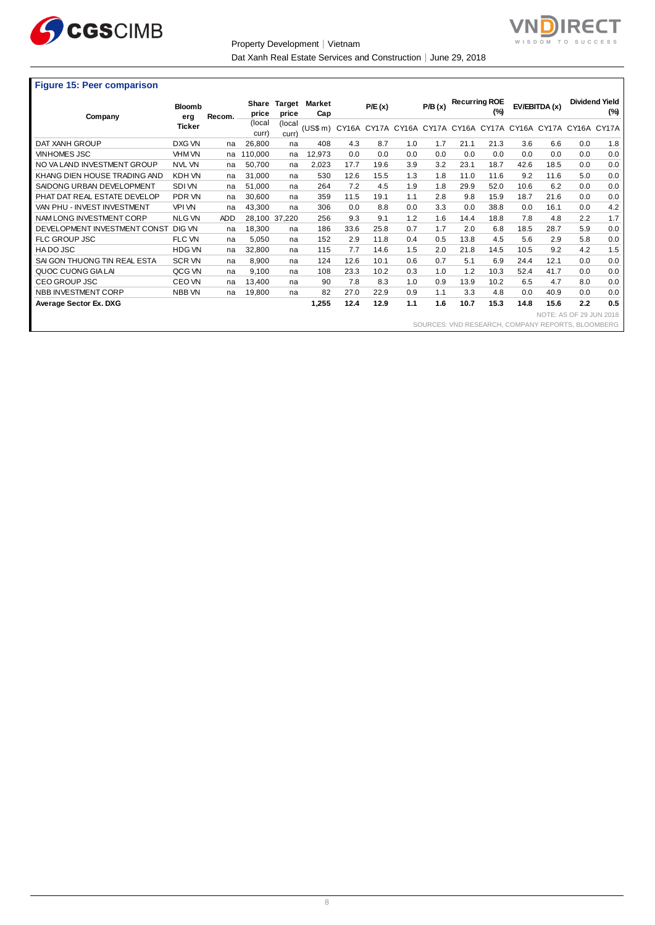

Property Development│Vietnam



Dat Xanh Real Estate Services and Construction│June 29, 2018

#### **Figure 15: Peer comparison**

| <b>1 19910 10: 1 00: 00: 110: 110: 11</b> |                      |            |                 |                 |               |       |        |     |                                                       |      |                             |      |                         |     |                              |
|-------------------------------------------|----------------------|------------|-----------------|-----------------|---------------|-------|--------|-----|-------------------------------------------------------|------|-----------------------------|------|-------------------------|-----|------------------------------|
|                                           | <b>Bloomb</b>        | Recom.     | Share<br>price  | Target<br>price | Market<br>Cap |       | P/E(x) |     | P/B(x)                                                |      | <b>Recurring ROE</b><br>(%) |      | EV/EBITDA (x)           |     | <b>Dividend Yield</b><br>(%) |
| Company                                   | erg<br><b>Ticker</b> |            | (local<br>curr) | (local<br>curr) | (US\$ m)      | CY16A |        |     | CY17A CY16A CY17A CY16A CY17A CY16A CY17A CY16A CY17A |      |                             |      |                         |     |                              |
| DAT XANH GROUP                            | DXG VN               | na         | 26,800          | na              | 408           | 4.3   | 8.7    | 1.0 | 1.7                                                   | 21.1 | 21.3                        | 3.6  | 6.6                     | 0.0 | 1.8                          |
| <b>VINHOMES JSC</b>                       | VHM VN               | na         | 110,000         | na              | 12,973        | 0.0   | 0.0    | 0.0 | 0.0                                                   | 0.0  | 0.0                         | 0.0  | 0.0                     | 0.0 | 0.0                          |
| NO VA LAND INVESTMENT GROUP               | <b>NVL VN</b>        | na         | 50.700          | na              | 2,023         | 17.7  | 19.6   | 3.9 | 3.2                                                   | 23.1 | 18.7                        | 42.6 | 18.5                    | 0.0 | 0.0                          |
| KHANG DIEN HOUSE TRADING AND              | KDH VN               | na         | 31,000          | na              | 530           | 12.6  | 15.5   | 1.3 | 1.8                                                   | 11.0 | 11.6                        | 9.2  | 11.6                    | 5.0 | 0.0                          |
| SAIDONG URBAN DEVELOPMENT                 | SDI VN               | na         | 51,000          | na              | 264           | 7.2   | 4.5    | 1.9 | 1.8                                                   | 29.9 | 52.0                        | 10.6 | 6.2                     | 0.0 | 0.0                          |
| PHAT DAT REAL ESTATE DEVELOP              | PDR VN               | na         | 30,600          | na              | 359           | 11.5  | 19.1   | 1.1 | 2.8                                                   | 9.8  | 15.9                        | 18.7 | 21.6                    | 0.0 | 0.0                          |
| VAN PHU - INVEST INVESTMENT               | <b>VPI VN</b>        | na         | 43,300          | na              | 306           | 0.0   | 8.8    | 0.0 | 3.3                                                   | 0.0  | 38.8                        | 0.0  | 16.1                    | 0.0 | 4.2                          |
| NAM LONG INVESTMENT CORP                  | <b>NLG VN</b>        | <b>ADD</b> |                 | 28,100 37,220   | 256           | 9.3   | 9.1    | 1.2 | 1.6                                                   | 14.4 | 18.8                        | 7.8  | 4.8                     | 2.2 | 1.7                          |
| DEVELOPMENT INVESTMENT CONST              | <b>DIG VN</b>        | na         | 18,300          | na              | 186           | 33.6  | 25.8   | 0.7 | 1.7                                                   | 2.0  | 6.8                         | 18.5 | 28.7                    | 5.9 | 0.0                          |
| <b>FLC GROUP JSC</b>                      | FLC VN               | na         | 5,050           | na              | 152           | 2.9   | 11.8   | 0.4 | 0.5                                                   | 13.8 | 4.5                         | 5.6  | 2.9                     | 5.8 | 0.0                          |
| HADO JSC                                  | <b>HDG VN</b>        | na         | 32,800          | na              | 115           | 7.7   | 14.6   | 1.5 | 2.0                                                   | 21.8 | 14.5                        | 10.5 | 9.2                     | 4.2 | 1.5                          |
| SAI GON THUONG TIN REAL ESTA              | <b>SCR VN</b>        | na         | 8.900           | na              | 124           | 12.6  | 10.1   | 0.6 | 0.7                                                   | 5.1  | 6.9                         | 24.4 | 12.1                    | 0.0 | 0.0                          |
| QUOC CUONG GIA LAI                        | QCG VN               | na         | 9.100           | na              | 108           | 23.3  | 10.2   | 0.3 | 1.0                                                   | 1.2  | 10.3                        | 52.4 | 41.7                    | 0.0 | 0.0                          |
| CEO GROUP JSC                             | CEO VN               | na         | 13,400          | na              | 90            | 7.8   | 8.3    | 1.0 | 0.9                                                   | 13.9 | 10.2                        | 6.5  | 4.7                     | 8.0 | 0.0                          |
| NBB INVESTMENT CORP                       | NBB VN               | na         | 19,800          | na              | 82            | 27.0  | 22.9   | 0.9 | 1.1                                                   | 3.3  | 4.8                         | 0.0  | 40.9                    | 0.0 | 0.0                          |
| Average Sector Ex. DXG                    |                      |            |                 |                 | 1,255         | 12.4  | 12.9   | 1.1 | 1.6                                                   | 10.7 | 15.3                        | 14.8 | 15.6                    | 2.2 | 0.5                          |
|                                           |                      |            |                 |                 |               |       |        |     |                                                       |      |                             |      | NOTE: AS OF 29 JUN 2018 |     |                              |
|                                           |                      |            |                 |                 |               |       |        |     | COLIDAES: VND DECEADAH COMDANY DEDODTS RI OOMREDG     |      |                             |      |                         |     |                              |

SOURCES: VND RESEARCH, COMPANY REPORTS, BLOOMBERG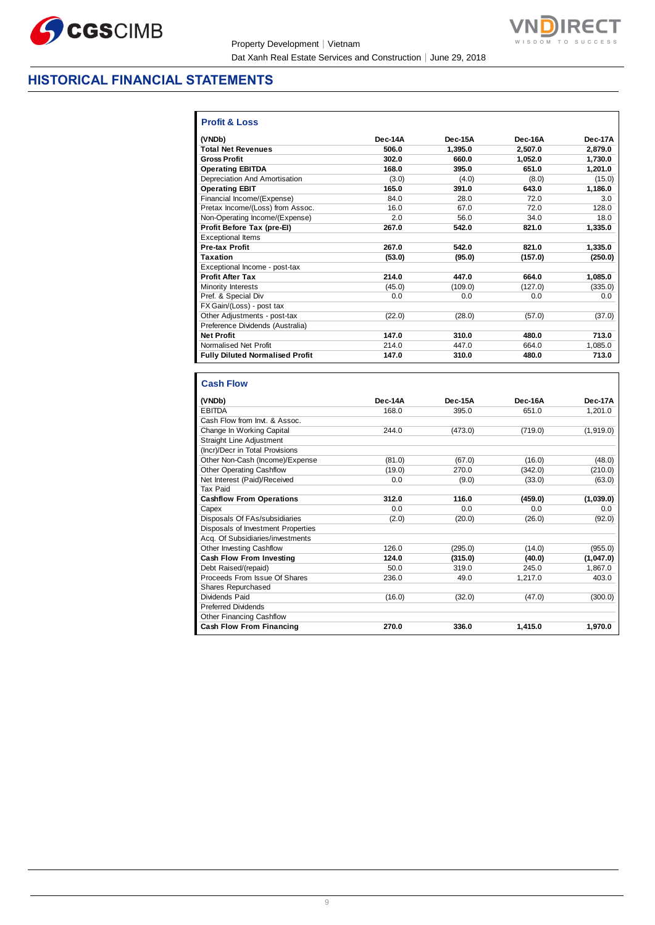

Property Development│Vietnam Dat Xanh Real Estate Services and Construction│June 29, 2018



 $\overline{\phantom{a}}$ 

## **HISTORICAL FINANCIAL STATEMENTS**

| <b>Profit &amp; Loss</b>               |         |         |         |         |
|----------------------------------------|---------|---------|---------|---------|
| (VNDb)                                 | Dec-14A | Dec-15A | Dec-16A | Dec-17A |
| <b>Total Net Revenues</b>              | 506.0   | 1,395.0 | 2,507.0 | 2,879.0 |
| <b>Gross Profit</b>                    | 302.0   | 660.0   | 1.052.0 | 1.730.0 |
| <b>Operating EBITDA</b>                | 168.0   | 395.0   | 651.0   | 1.201.0 |
| Depreciation And Amortisation          | (3.0)   | (4.0)   | (8.0)   | (15.0)  |
| <b>Operating EBIT</b>                  | 165.0   | 391.0   | 643.0   | 1,186.0 |
| Financial Income/(Expense)             | 84.0    | 28.0    | 72.0    | 3.0     |
| Pretax Income/(Loss) from Assoc.       | 16.0    | 67.0    | 72.0    | 128.0   |
| Non-Operating Income/(Expense)         | 20      | 56.0    | 34.0    | 18.0    |
| Profit Before Tax (pre-El)             | 267.0   | 542.0   | 821.0   | 1,335.0 |
| <b>Exceptional Items</b>               |         |         |         |         |
| <b>Pre-tax Profit</b>                  | 267.0   | 542.0   | 821.0   | 1.335.0 |
| <b>Taxation</b>                        | (53.0)  | (95.0)  | (157.0) | (250.0) |
| Exceptional Income - post-tax          |         |         |         |         |
| <b>Profit After Tax</b>                | 214.0   | 447.0   | 664.0   | 1,085.0 |
| <b>Minority Interests</b>              | (45.0)  | (109.0) | (127.0) | (335.0) |
| Pref. & Special Div                    | 0.0     | 0.0     | 0.0     | 0.0     |
| FX Gain/(Loss) - post tax              |         |         |         |         |
| Other Adjustments - post-tax           | (22.0)  | (28.0)  | (57.0)  | (37.0)  |
| Preference Dividends (Australia)       |         |         |         |         |
| <b>Net Profit</b>                      | 147.0   | 310.0   | 480.0   | 713.0   |
| Normalised Net Profit                  | 214.0   | 447.0   | 664.0   | 1.085.0 |
| <b>Fully Diluted Normalised Profit</b> | 147.0   | 310.0   | 480.0   | 713.0   |

| <b>Cash Flow</b>                   |         |         |         |           |
|------------------------------------|---------|---------|---------|-----------|
| (VNDb)                             | Dec-14A | Dec-15A | Dec-16A | Dec-17A   |
| <b>EBITDA</b>                      | 168.0   | 395.0   | 651.0   | 1,201.0   |
| Cash Flow from Invt. & Assoc.      |         |         |         |           |
| Change In Working Capital          | 244.0   | (473.0) | (719.0) | (1,919.0) |
| <b>Straight Line Adjustment</b>    |         |         |         |           |
| (Incr)/Decr in Total Provisions    |         |         |         |           |
| Other Non-Cash (Income)/Expense    | (81.0)  | (67.0)  | (16.0)  | (48.0)    |
| <b>Other Operating Cashflow</b>    | (19.0)  | 270.0   | (342.0) | (210.0)   |
| Net Interest (Paid)/Received       | 0.0     | (9.0)   | (33.0)  | (63.0)    |
| Tax Paid                           |         |         |         |           |
| <b>Cashflow From Operations</b>    | 312.0   | 116.0   | (459.0) | (1,039.0) |
| Capex                              | 0.0     | 0.0     | 0.0     | 0.0       |
| Disposals Of FAs/subsidiaries      | (2.0)   | (20.0)  | (26.0)  | (92.0)    |
| Disposals of Investment Properties |         |         |         |           |
| Acq. Of Subsidiaries/investments   |         |         |         |           |
| Other Investing Cashflow           | 126.0   | (295.0) | (14.0)  | (955.0)   |
| Cash Flow From Investing           | 124.0   | (315.0) | (40.0)  | (1,047.0) |
| Debt Raised/(repaid)               | 50.0    | 319.0   | 245.0   | 1,867.0   |
| Proceeds From Issue Of Shares      | 236.0   | 49.0    | 1,217.0 | 403.0     |
| Shares Repurchased                 |         |         |         |           |
| Dividends Paid                     | (16.0)  | (32.0)  | (47.0)  | (300.0)   |
| <b>Preferred Dividends</b>         |         |         |         |           |
| <b>Other Financing Cashflow</b>    |         |         |         |           |
| <b>Cash Flow From Financing</b>    | 270.0   | 336.0   | 1,415.0 | 1,970.0   |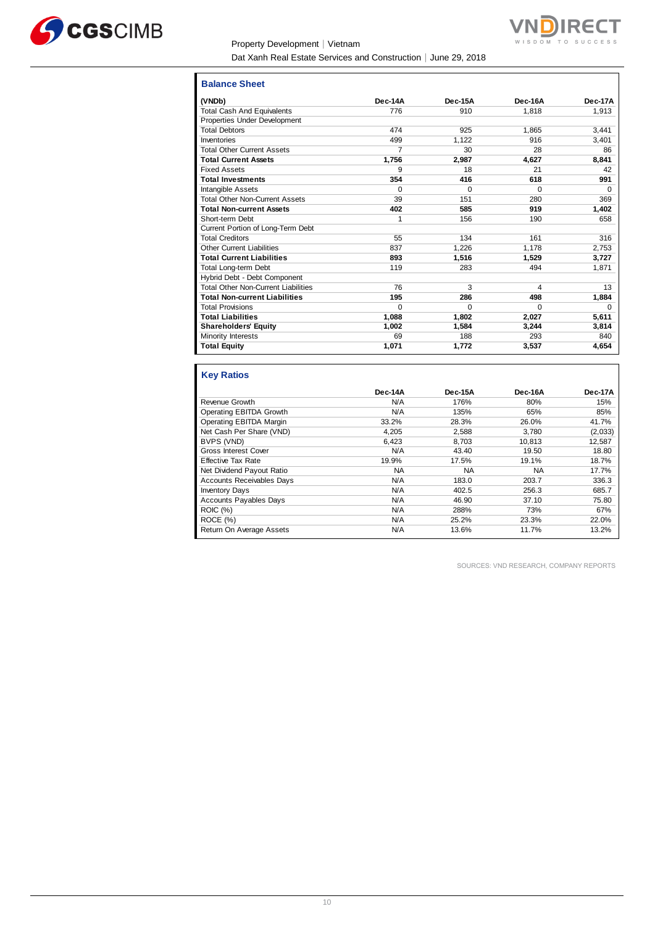

#### Property Development│Vietnam

Dat Xanh Real Estate Services and Construction│June 29, 2018



| <b>Balance Sheet</b>                       |          |          |          |          |
|--------------------------------------------|----------|----------|----------|----------|
| (VNDb)                                     | Dec-14A  | Dec-15A  | Dec-16A  | Dec-17A  |
| <b>Total Cash And Equivalents</b>          | 776      | 910      | 1.818    | 1,913    |
| Properties Under Development               |          |          |          |          |
| <b>Total Debtors</b>                       | 474      | 925      | 1.865    | 3,441    |
| Inventories                                | 499      | 1,122    | 916      | 3,401    |
| <b>Total Other Current Assets</b>          | 7        | 30       | 28       | 86       |
| <b>Total Current Assets</b>                | 1,756    | 2,987    | 4.627    | 8.841    |
| <b>Fixed Assets</b>                        | 9        | 18       | 21       | 42       |
| <b>Total Investments</b>                   | 354      | 416      | 618      | 991      |
| Intangible Assets                          | $\Omega$ | $\Omega$ | $\Omega$ | $\Omega$ |
| <b>Total Other Non-Current Assets</b>      | 39       | 151      | 280      | 369      |
| <b>Total Non-current Assets</b>            | 402      | 585      | 919      | 1,402    |
| Short-term Debt                            | 1        | 156      | 190      | 658      |
| Current Portion of Long-Term Debt          |          |          |          |          |
| <b>Total Creditors</b>                     | 55       | 134      | 161      | 316      |
| <b>Other Current Liabilities</b>           | 837      | 1,226    | 1.178    | 2,753    |
| <b>Total Current Liabilities</b>           | 893      | 1,516    | 1,529    | 3,727    |
| <b>Total Long-term Debt</b>                | 119      | 283      | 494      | 1,871    |
| Hybrid Debt - Debt Component               |          |          |          |          |
| <b>Total Other Non-Current Liabilities</b> | 76       | 3        | 4        | 13       |
| <b>Total Non-current Liabilities</b>       | 195      | 286      | 498      | 1,884    |
| <b>Total Provisions</b>                    | $\Omega$ | $\Omega$ | $\Omega$ | $\Omega$ |
| <b>Total Liabilities</b>                   | 1,088    | 1,802    | 2,027    | 5,611    |
| <b>Shareholders' Equity</b>                | 1,002    | 1,584    | 3,244    | 3,814    |
| Minority Interests                         | 69       | 188      | 293      | 840      |
| <b>Total Equity</b>                        | 1,071    | 1,772    | 3,537    | 4,654    |

## **Key Ratios**

| Dec-14A | Dec-15A | Dec-16A | Dec-17A |
|---------|---------|---------|---------|
| N/A     | 176%    | 80%     | 15%     |
| N/A     | 135%    | 65%     | 85%     |
| 33.2%   | 28.3%   | 26.0%   | 41.7%   |
| 4.205   | 2,588   | 3.780   | (2,033) |
| 6.423   | 8.703   | 10.813  | 12,587  |
| N/A     | 43.40   | 19.50   | 18.80   |
| 19.9%   | 17.5%   | 19.1%   | 18.7%   |
| NA.     | NA.     | NA      | 17.7%   |
| N/A     | 183.0   | 203.7   | 336.3   |
| N/A     | 402.5   | 256.3   | 685.7   |
| N/A     | 46.90   | 37.10   | 75.80   |
| N/A     | 288%    | 73%     | 67%     |
| N/A     | 25.2%   | 23.3%   | 22.0%   |
| N/A     | 13.6%   | 11.7%   | 13.2%   |
|         |         |         |         |

SOURCES: VND RESEARCH, COMPANY REPORTS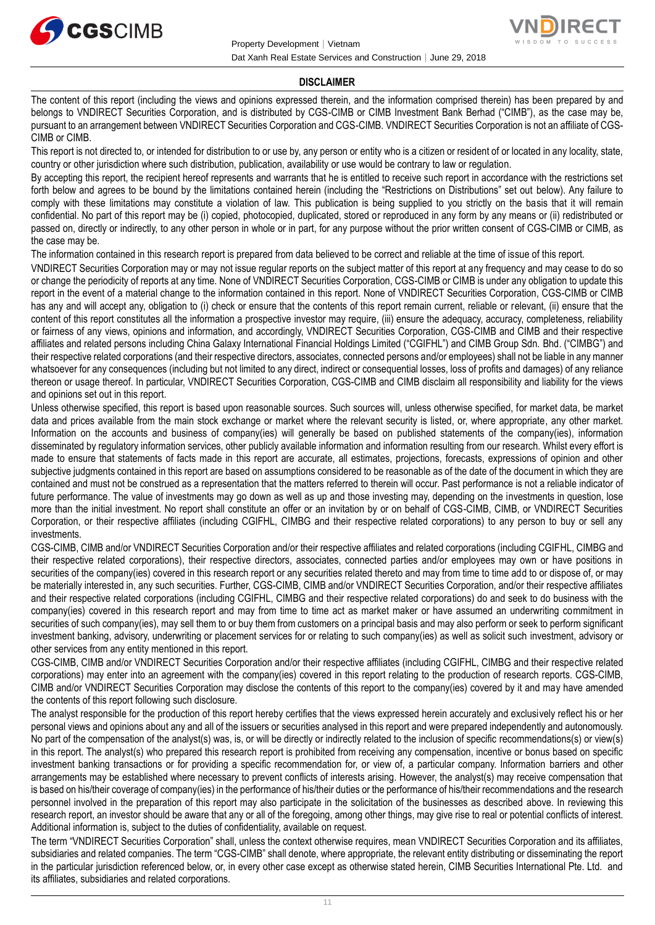



#### **DISCLAIMER**

The content of this report (including the views and opinions expressed therein, and the information comprised therein) has been prepared by and belongs to VNDIRECT Securities Corporation, and is distributed by CGS-CIMB or CIMB Investment Bank Berhad ("CIMB"), as the case may be, pursuant to an arrangement between VNDIRECT Securities Corporation and CGS-CIMB. VNDIRECT Securities Corporation is not an affiliate of CGS-CIMB or CIMB.

This report is not directed to, or intended for distribution to or use by, any person or entity who is a citizen or resident of or located in any locality, state, country or other jurisdiction where such distribution, publication, availability or use would be contrary to law or regulation.

By accepting this report, the recipient hereof represents and warrants that he is entitled to receive such report in accordance with the restrictions set forth below and agrees to be bound by the limitations contained herein (including the "Restrictions on Distributions" set out below). Any failure to comply with these limitations may constitute a violation of law. This publication is being supplied to you strictly on the basis that it will remain confidential. No part of this report may be (i) copied, photocopied, duplicated, stored or reproduced in any form by any means or (ii) redistributed or passed on, directly or indirectly, to any other person in whole or in part, for any purpose without the prior written consent of CGS-CIMB or CIMB, as the case may be.

The information contained in this research report is prepared from data believed to be correct and reliable at the time of issue of this report.

VNDIRECT Securities Corporation may or may not issue regular reports on the subject matter of this report at any frequency and may cease to do so or change the periodicity of reports at any time. None of VNDIRECT Securities Corporation, CGS-CIMB or CIMB is under any obligation to update this report in the event of a material change to the information contained in this report. None of VNDIRECT Securities Corporation, CGS-CIMB or CIMB has any and will accept any, obligation to (i) check or ensure that the contents of this report remain current, reliable or relevant, (ii) ensure that the content of this report constitutes all the information a prospective investor may require, (iii) ensure the adequacy, accuracy, completeness, reliability or fairness of any views, opinions and information, and accordingly, VNDIRECT Securities Corporation, CGS-CIMB and CIMB and their respective affiliates and related persons including China Galaxy International Financial Holdings Limited ("CGIFHL") and CIMB Group Sdn. Bhd. ("CIMBG") and their respective related corporations (and their respective directors, associates, connected persons and/or employees) shall not be liable in any manner whatsoever for any consequences (including but not limited to any direct, indirect or consequential losses, loss of profits and damages) of any reliance thereon or usage thereof. In particular, VNDIRECT Securities Corporation, CGS-CIMB and CIMB disclaim all responsibility and liability for the views and opinions set out in this report.

Unless otherwise specified, this report is based upon reasonable sources. Such sources will, unless otherwise specified, for market data, be market data and prices available from the main stock exchange or market where the relevant security is listed, or, where appropriate, any other market. Information on the accounts and business of company(ies) will generally be based on published statements of the company(ies), information disseminated by regulatory information services, other publicly available information and information resulting from our research. Whilst every effort is made to ensure that statements of facts made in this report are accurate, all estimates, projections, forecasts, expressions of opinion and other subjective judgments contained in this report are based on assumptions considered to be reasonable as of the date of the document in which they are contained and must not be construed as a representation that the matters referred to therein will occur. Past performance is not a reliable indicator of future performance. The value of investments may go down as well as up and those investing may, depending on the investments in question, lose more than the initial investment. No report shall constitute an offer or an invitation by or on behalf of CGS-CIMB, CIMB, or VNDIRECT Securities Corporation, or their respective affiliates (including CGIFHL, CIMBG and their respective related corporations) to any person to buy or sell any investments.

CGS-CIMB, CIMB and/or VNDIRECT Securities Corporation and/or their respective affiliates and related corporations (including CGIFHL, CIMBG and their respective related corporations), their respective directors, associates, connected parties and/or employees may own or have positions in securities of the company(ies) covered in this research report or any securities related thereto and may from time to time add to or dispose of, or may be materially interested in, any such securities. Further, CGS-CIMB, CIMB and/or VNDIRECT Securities Corporation, and/or their respective affiliates and their respective related corporations (including CGIFHL, CIMBG and their respective related corporations) do and seek to do business with the company(ies) covered in this research report and may from time to time act as market maker or have assumed an underwriting commitment in securities of such company(ies), may sell them to or buy them from customers on a principal basis and may also perform or seek to perform significant investment banking, advisory, underwriting or placement services for or relating to such company(ies) as well as solicit such investment, advisory or other services from any entity mentioned in this report.

CGS-CIMB, CIMB and/or VNDIRECT Securities Corporation and/or their respective affiliates (including CGIFHL, CIMBG and their respective related corporations) may enter into an agreement with the company(ies) covered in this report relating to the production of research reports. CGS-CIMB, CIMB and/or VNDIRECT Securities Corporation may disclose the contents of this report to the company(ies) covered by it and may have amended the contents of this report following such disclosure.

The analyst responsible for the production of this report hereby certifies that the views expressed herein accurately and exclusively reflect his or her personal views and opinions about any and all of the issuers or securities analysed in this report and were prepared independently and autonomously. No part of the compensation of the analyst(s) was, is, or will be directly or indirectly related to the inclusion of specific recommendations(s) or view(s) in this report. The analyst(s) who prepared this research report is prohibited from receiving any compensation, incentive or bonus based on specific investment banking transactions or for providing a specific recommendation for, or view of, a particular company. Information barriers and other arrangements may be established where necessary to prevent conflicts of interests arising. However, the analyst(s) may receive compensation that is based on his/their coverage of company(ies) in the performance of his/their duties or the performance of his/their recommendations and the research personnel involved in the preparation of this report may also participate in the solicitation of the businesses as described above. In reviewing this research report, an investor should be aware that any or all of the foregoing, among other things, may give rise to real or potential conflicts of interest. Additional information is, subject to the duties of confidentiality, available on request.

The term "VNDIRECT Securities Corporation" shall, unless the context otherwise requires, mean VNDIRECT Securities Corporation and its affiliates, subsidiaries and related companies. The term "CGS-CIMB" shall denote, where appropriate, the relevant entity distributing or disseminating the report in the particular jurisdiction referenced below, or, in every other case except as otherwise stated herein, CIMB Securities International Pte. Ltd. and its affiliates, subsidiaries and related corporations.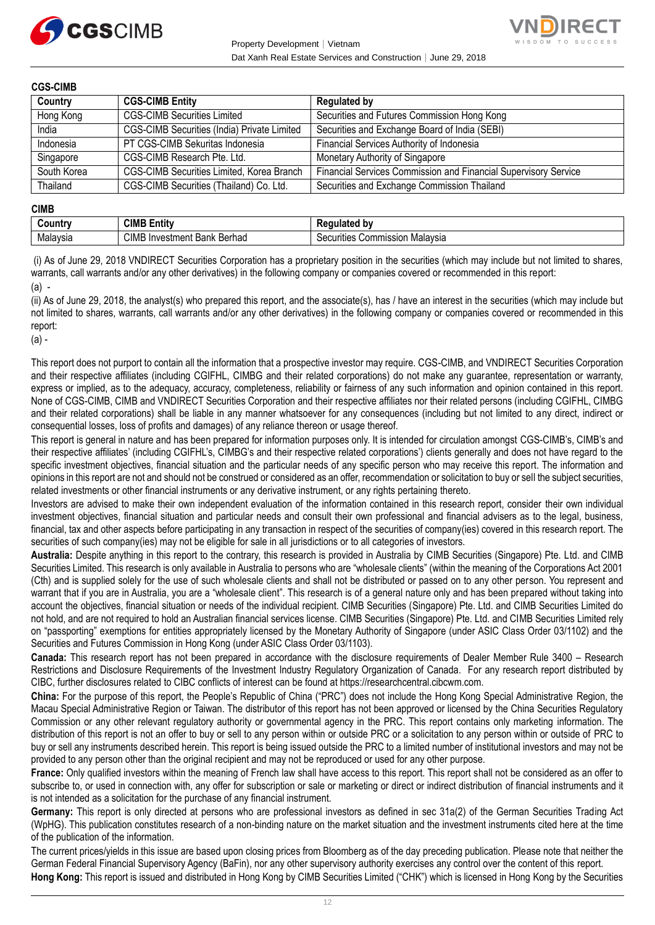



#### **CGS-CIMB**

| Country     | <b>CGS-CIMB Entity</b>                      | <b>Regulated by</b>                                             |
|-------------|---------------------------------------------|-----------------------------------------------------------------|
| Hong Kong   | <b>CGS-CIMB Securities Limited</b>          | Securities and Futures Commission Hong Kong                     |
| India       | CGS-CIMB Securities (India) Private Limited | Securities and Exchange Board of India (SEBI)                   |
| Indonesia   | PT CGS-CIMB Sekuritas Indonesia             | Financial Services Authority of Indonesia                       |
| Singapore   | CGS-CIMB Research Pte. Ltd.                 | Monetary Authority of Singapore                                 |
| South Korea | CGS-CIMB Securities Limited, Korea Branch   | Financial Services Commission and Financial Supervisory Service |
| Thailand    | CGS-CIMB Securities (Thailand) Co. Ltd.     | Securities and Exchange Commission Thailand                     |

#### **CIMB**

|          | CIMB<br>.<br><b>Entit</b> y                                    | --- -<br>hv<br>$\cdots$                  |
|----------|----------------------------------------------------------------|------------------------------------------|
| Malavsia | <b>CIMB</b><br>Berhad<br>∛ Investment<br><b>Donie</b><br>Dalik | ion Malavsia<br>Securities<br>Commission |

(i) As of June 29, 2018 VNDIRECT Securities Corporation has a proprietary position in the securities (which may include but not limited to shares, warrants, call warrants and/or any other derivatives) in the following company or companies covered or recommended in this report: (a) -

(ii) As of June 29, 2018, the analyst(s) who prepared this report, and the associate(s), has / have an interest in the securities (which may include but not limited to shares, warrants, call warrants and/or any other derivatives) in the following company or companies covered or recommended in this report:

(a) -

This report does not purport to contain all the information that a prospective investor may require. CGS-CIMB, and VNDIRECT Securities Corporation and their respective affiliates (including CGIFHL, CIMBG and their related corporations) do not make any guarantee, representation or warranty, express or implied, as to the adequacy, accuracy, completeness, reliability or fairness of any such information and opinion contained in this report. None of CGS-CIMB, CIMB and VNDIRECT Securities Corporation and their respective affiliates nor their related persons (including CGIFHL, CIMBG and their related corporations) shall be liable in any manner whatsoever for any consequences (including but not limited to any direct, indirect or consequential losses, loss of profits and damages) of any reliance thereon or usage thereof.

This report is general in nature and has been prepared for information purposes only. It is intended for circulation amongst CGS-CIMB's, CIMB's and their respective affiliates' (including CGIFHL's, CIMBG's and their respective related corporations') clients generally and does not have regard to the specific investment objectives, financial situation and the particular needs of any specific person who may receive this report. The information and opinions in this report are not and should not be construed or considered as an offer, recommendation or solicitation to buy or sell the subject securities, related investments or other financial instruments or any derivative instrument, or any rights pertaining thereto.

Investors are advised to make their own independent evaluation of the information contained in this research report, consider their own individual investment objectives, financial situation and particular needs and consult their own professional and financial advisers as to the legal, business, financial, tax and other aspects before participating in any transaction in respect of the securities of company(ies) covered in this research report. The securities of such company(ies) may not be eligible for sale in all jurisdictions or to all categories of investors.

**Australia:** Despite anything in this report to the contrary, this research is provided in Australia by CIMB Securities (Singapore) Pte. Ltd. and CIMB Securities Limited. This research is only available in Australia to persons who are "wholesale clients" (within the meaning of the Corporations Act 2001 (Cth) and is supplied solely for the use of such wholesale clients and shall not be distributed or passed on to any other person. You represent and warrant that if you are in Australia, you are a "wholesale client". This research is of a general nature only and has been prepared without taking into account the objectives, financial situation or needs of the individual recipient. CIMB Securities (Singapore) Pte. Ltd. and CIMB Securities Limited do not hold, and are not required to hold an Australian financial services license. CIMB Securities (Singapore) Pte. Ltd. and CIMB Securities Limited rely on "passporting" exemptions for entities appropriately licensed by the Monetary Authority of Singapore (under ASIC Class Order 03/1102) and the Securities and Futures Commission in Hong Kong (under ASIC Class Order 03/1103).

**Canada:** This research report has not been prepared in accordance with the disclosure requirements of Dealer Member Rule 3400 – Research Restrictions and Disclosure Requirements of the Investment Industry Regulatory Organization of Canada. For any research report distributed by CIBC, further disclosures related to CIBC conflicts of interest can be found at https://researchcentral.cibcwm.com.

**China:** For the purpose of this report, the People's Republic of China ("PRC") does not include the Hong Kong Special Administrative Region, the Macau Special Administrative Region or Taiwan. The distributor of this report has not been approved or licensed by the China Securities Regulatory Commission or any other relevant regulatory authority or governmental agency in the PRC. This report contains only marketing information. The distribution of this report is not an offer to buy or sell to any person within or outside PRC or a solicitation to any person within or outside of PRC to buy or sell any instruments described herein. This report is being issued outside the PRC to a limited number of institutional investors and may not be provided to any person other than the original recipient and may not be reproduced or used for any other purpose.

**France:** Only qualified investors within the meaning of French law shall have access to this report. This report shall not be considered as an offer to subscribe to, or used in connection with, any offer for subscription or sale or marketing or direct or indirect distribution of financial instruments and it is not intended as a solicitation for the purchase of any financial instrument.

**Germany:** This report is only directed at persons who are professional investors as defined in sec 31a(2) of the German Securities Trading Act (WpHG). This publication constitutes research of a non-binding nature on the market situation and the investment instruments cited here at the time of the publication of the information.

The current prices/yields in this issue are based upon closing prices from Bloomberg as of the day preceding publication. Please note that neither the German Federal Financial Supervisory Agency (BaFin), nor any other supervisory authority exercises any control over the content of this report. **Hong Kong:** This report is issued and distributed in Hong Kong by CIMB Securities Limited ("CHK") which is licensed in Hong Kong by the Securities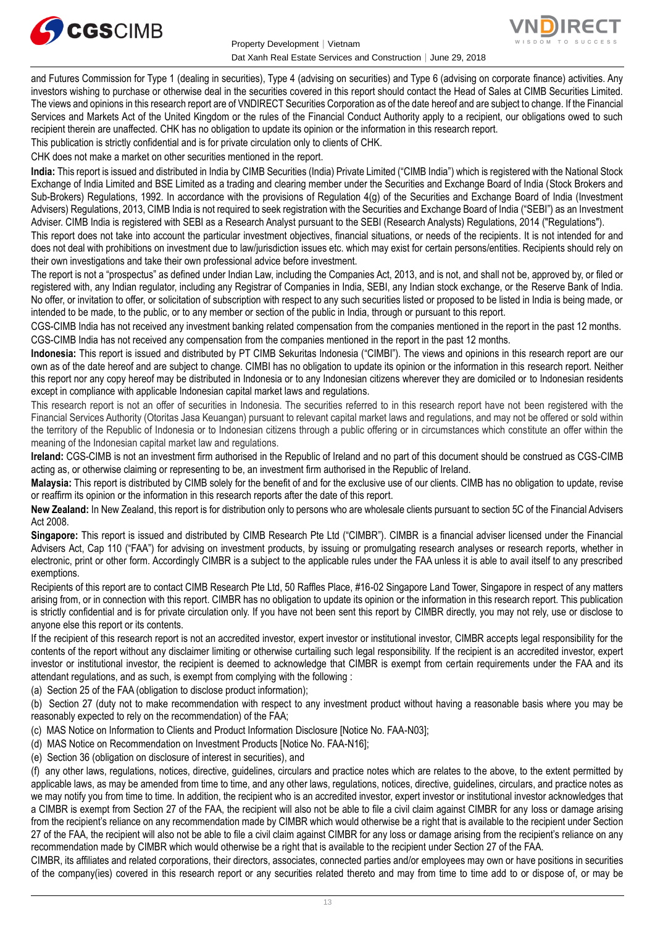



and Futures Commission for Type 1 (dealing in securities), Type 4 (advising on securities) and Type 6 (advising on corporate finance) activities. Any investors wishing to purchase or otherwise deal in the securities covered in this report should contact the Head of Sales at CIMB Securities Limited. The views and opinions in this research report are of VNDIRECT Securities Corporation as of the date hereof and are subject to change. If the Financial Services and Markets Act of the United Kingdom or the rules of the Financial Conduct Authority apply to a recipient, our obligations owed to such recipient therein are unaffected. CHK has no obligation to update its opinion or the information in this research report.

This publication is strictly confidential and is for private circulation only to clients of CHK.

CHK does not make a market on other securities mentioned in the report.

**India:** This report is issued and distributed in India by CIMB Securities (India) Private Limited ("CIMB India") which is registered with the National Stock Exchange of India Limited and BSE Limited as a trading and clearing member under the Securities and Exchange Board of India (Stock Brokers and Sub-Brokers) Regulations, 1992. In accordance with the provisions of Regulation 4(g) of the Securities and Exchange Board of India (Investment Advisers) Regulations, 2013, CIMB India is not required to seek registration with the Securities and Exchange Board of India ("SEBI") as an Investment Adviser. CIMB India is registered with SEBI as a Research Analyst pursuant to the SEBI (Research Analysts) Regulations, 2014 ("Regulations").

This report does not take into account the particular investment objectives, financial situations, or needs of the recipients. It is not intended for and does not deal with prohibitions on investment due to law/jurisdiction issues etc. which may exist for certain persons/entities. Recipients should rely on their own investigations and take their own professional advice before investment.

The report is not a "prospectus" as defined under Indian Law, including the Companies Act, 2013, and is not, and shall not be, approved by, or filed or registered with, any Indian regulator, including any Registrar of Companies in India, SEBI, any Indian stock exchange, or the Reserve Bank of India, No offer, or invitation to offer, or solicitation of subscription with respect to any such securities listed or proposed to be listed in India is being made, or intended to be made, to the public, or to any member or section of the public in India, through or pursuant to this report.

CGS-CIMB India has not received any investment banking related compensation from the companies mentioned in the report in the past 12 months. CGS-CIMB India has not received any compensation from the companies mentioned in the report in the past 12 months.

**Indonesia:** This report is issued and distributed by PT CIMB Sekuritas Indonesia ("CIMBI"). The views and opinions in this research report are our own as of the date hereof and are subject to change. CIMBI has no obligation to update its opinion or the information in this research report. Neither this report nor any copy hereof may be distributed in Indonesia or to any Indonesian citizens wherever they are domiciled or to Indonesian residents except in compliance with applicable Indonesian capital market laws and regulations.

This research report is not an offer of securities in Indonesia. The securities referred to in this research report have not been registered with the Financial Services Authority (Otoritas Jasa Keuangan) pursuant to relevant capital market laws and regulations, and may not be offered or sold within the territory of the Republic of Indonesia or to Indonesian citizens through a public offering or in circumstances which constitute an offer within the meaning of the Indonesian capital market law and regulations.

**Ireland:** CGS-CIMB is not an investment firm authorised in the Republic of Ireland and no part of this document should be construed as CGS-CIMB acting as, or otherwise claiming or representing to be, an investment firm authorised in the Republic of Ireland.

**Malaysia:** This report is distributed by CIMB solely for the benefit of and for the exclusive use of our clients. CIMB has no obligation to update, revise or reaffirm its opinion or the information in this research reports after the date of this report.

**New Zealand:** In New Zealand, this report is for distribution only to persons who are wholesale clients pursuant to section 5C of the Financial Advisers Act 2008.

**Singapore:** This report is issued and distributed by CIMB Research Pte Ltd ("CIMBR"). CIMBR is a financial adviser licensed under the Financial Advisers Act, Cap 110 ("FAA") for advising on investment products, by issuing or promulgating research analyses or research reports, whether in electronic, print or other form. Accordingly CIMBR is a subject to the applicable rules under the FAA unless it is able to avail itself to any prescribed exemptions.

Recipients of this report are to contact CIMB Research Pte Ltd, 50 Raffles Place, #16-02 Singapore Land Tower, Singapore in respect of any matters arising from, or in connection with this report. CIMBR has no obligation to update its opinion or the information in this research report. This publication is strictly confidential and is for private circulation only. If you have not been sent this report by CIMBR directly, you may not rely, use or disclose to anyone else this report or its contents.

If the recipient of this research report is not an accredited investor, expert investor or institutional investor, CIMBR accepts legal responsibility for the contents of the report without any disclaimer limiting or otherwise curtailing such legal responsibility. If the recipient is an accredited investor, expert investor or institutional investor, the recipient is deemed to acknowledge that CIMBR is exempt from certain requirements under the FAA and its attendant regulations, and as such, is exempt from complying with the following :

(a) Section 25 of the FAA (obligation to disclose product information);

(b) Section 27 (duty not to make recommendation with respect to any investment product without having a reasonable basis where you may be reasonably expected to rely on the recommendation) of the FAA;

- (c) MAS Notice on Information to Clients and Product Information Disclosure [Notice No. FAA-N03];
- (d) MAS Notice on Recommendation on Investment Products [Notice No. FAA-N16];
- (e) Section 36 (obligation on disclosure of interest in securities), and

(f) any other laws, regulations, notices, directive, guidelines, circulars and practice notes which are relates to the above, to the extent permitted by applicable laws, as may be amended from time to time, and any other laws, regulations, notices, directive, guidelines, circulars, and practice notes as we may notify you from time to time. In addition, the recipient who is an accredited investor, expert investor or institutional investor acknowledges that a CIMBR is exempt from Section 27 of the FAA, the recipient will also not be able to file a civil claim against CIMBR for any loss or damage arising from the recipient's reliance on any recommendation made by CIMBR which would otherwise be a right that is available to the recipient under Section 27 of the FAA, the recipient will also not be able to file a civil claim against CIMBR for any loss or damage arising from the recipient's reliance on any recommendation made by CIMBR which would otherwise be a right that is available to the recipient under Section 27 of the FAA.

CIMBR, its affiliates and related corporations, their directors, associates, connected parties and/or employees may own or have positions in securities of the company(ies) covered in this research report or any securities related thereto and may from time to time add to or dispose of, or may be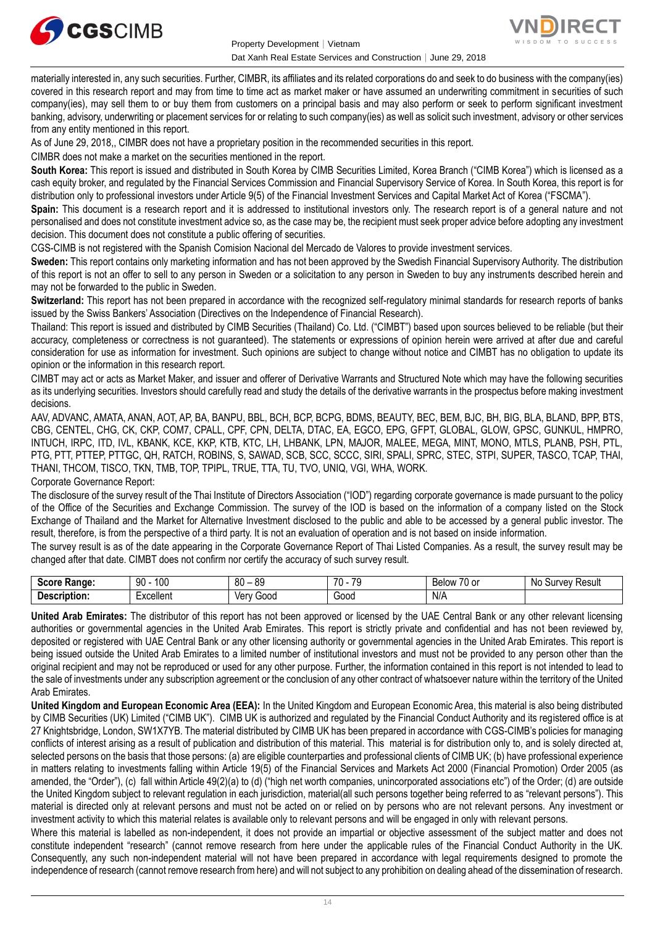



materially interested in, any such securities. Further, CIMBR, its affiliates and its related corporations do and seek to do business with the company(ies) covered in this research report and may from time to time act as market maker or have assumed an underwriting commitment in securities of such company(ies), may sell them to or buy them from customers on a principal basis and may also perform or seek to perform significant investment banking, advisory, underwriting or placement services for or relating to such company(ies) as well as solicit such investment, advisory or other services from any entity mentioned in this report.

As of June 29, 2018,, CIMBR does not have a proprietary position in the recommended securities in this report.

CIMBR does not make a market on the securities mentioned in the report.

**South Korea:** This report is issued and distributed in South Korea by CIMB Securities Limited, Korea Branch ("CIMB Korea") which is licensed as a cash equity broker, and regulated by the Financial Services Commission and Financial Supervisory Service of Korea. In South Korea, this report is for distribution only to professional investors under Article 9(5) of the Financial Investment Services and Capital Market Act of Korea ("FSCMA").

**Spain:** This document is a research report and it is addressed to institutional investors only. The research report is of a general nature and not personalised and does not constitute investment advice so, as the case may be, the recipient must seek proper advice before adopting any investment decision. This document does not constitute a public offering of securities.

CGS-CIMB is not registered with the Spanish Comision Nacional del Mercado de Valores to provide investment services.

**Sweden:** This report contains only marketing information and has not been approved by the Swedish Financial Supervisory Authority. The distribution of this report is not an offer to sell to any person in Sweden or a solicitation to any person in Sweden to buy any instruments described herein and may not be forwarded to the public in Sweden.

**Switzerland:** This report has not been prepared in accordance with the recognized self-regulatory minimal standards for research reports of banks issued by the Swiss Bankers' Association (Directives on the Independence of Financial Research).

Thailand: This report is issued and distributed by CIMB Securities (Thailand) Co. Ltd. ("CIMBT") based upon sources believed to be reliable (but their accuracy, completeness or correctness is not guaranteed). The statements or expressions of opinion herein were arrived at after due and careful consideration for use as information for investment. Such opinions are subject to change without notice and CIMBT has no obligation to update its opinion or the information in this research report.

CIMBT may act or acts as Market Maker, and issuer and offerer of Derivative Warrants and Structured Note which may have the following securities as its underlying securities. Investors should carefully read and study the details of the derivative warrants in the prospectus before making investment decisions.

AAV, ADVANC, AMATA, ANAN, AOT, AP, BA, BANPU, BBL, BCH, BCP, BCPG, BDMS, BEAUTY, BEC, BEM, BJC, BH, BIG, BLA, BLAND, BPP, BTS, CBG, CENTEL, CHG, CK, CKP, COM7, CPALL, CPF, CPN, DELTA, DTAC, EA, EGCO, EPG, GFPT, GLOBAL, GLOW, GPSC, GUNKUL, HMPRO, INTUCH, IRPC, ITD, IVL, KBANK, KCE, KKP, KTB, KTC, LH, LHBANK, LPN, MAJOR, MALEE, MEGA, MINT, MONO, MTLS, PLANB, PSH, PTL, PTG, PTT, PTTEP, PTTGC, QH, RATCH, ROBINS, S, SAWAD, SCB, SCC, SCCC, SIRI, SPALI, SPRC, STEC, STPI, SUPER, TASCO, TCAP, THAI, THANI, THCOM, TISCO, TKN, TMB, TOP, TPIPL, TRUE, TTA, TU, TVO, UNIQ, VGI, WHA, WORK. Corporate Governance Report:

The disclosure of the survey result of the Thai Institute of Directors Association ("IOD") regarding corporate governance is made pursuant to the policy of the Office of the Securities and Exchange Commission. The survey of the IOD is based on the information of a company listed on the Stock Exchange of Thailand and the Market for Alternative Investment disclosed to the public and able to be accessed by a general public investor. The result, therefore, is from the perspective of a third party. It is not an evaluation of operation and is not based on inside information.

The survey result is as of the date appearing in the Corporate Governance Report of Thai Listed Companies. As a result, the survey result may be changed after that date. CIMBT does not confirm nor certify the accuracy of such survey result.

| Score<br><b>Range:</b> | l 00<br>90 | 80<br><b>RC</b><br>ັບ | 70<br>70<br>۰. | $\rightarrow$<br>$\sim$<br>⊰elow<br>ו טע | Result<br>NC<br>، ۱۵۱<br>Sur |
|------------------------|------------|-----------------------|----------------|------------------------------------------|------------------------------|
| -<br>.)escrir<br>tion. | xcellent   | <b>JOOC</b><br>Ver    | Good           | N/A<br>$\sim$ $\sim$                     |                              |

**United Arab Emirates:** The distributor of this report has not been approved or licensed by the UAE Central Bank or any other relevant licensing authorities or governmental agencies in the United Arab Emirates. This report is strictly private and confidential and has not been reviewed by, deposited or registered with UAE Central Bank or any other licensing authority or governmental agencies in the United Arab Emirates. This report is being issued outside the United Arab Emirates to a limited number of institutional investors and must not be provided to any person other than the original recipient and may not be reproduced or used for any other purpose. Further, the information contained in this report is not intended to lead to the sale of investments under any subscription agreement or the conclusion of any other contract of whatsoever nature within the territory of the United Arab Emirates.

**United Kingdom and European Economic Area (EEA):** In the United Kingdom and European Economic Area, this material is also being distributed by CIMB Securities (UK) Limited ("CIMB UK"). CIMB UK is authorized and regulated by the Financial Conduct Authority and its registered office is at 27 Knightsbridge, London, SW1X7YB. The material distributed by CIMB UK has been prepared in accordance with CGS-CIMB's policies for managing conflicts of interest arising as a result of publication and distribution of this material. This material is for distribution only to, and is solely directed at, selected persons on the basis that those persons: (a) are eligible counterparties and professional clients of CIMB UK; (b) have professional experience in matters relating to investments falling within Article 19(5) of the Financial Services and Markets Act 2000 (Financial Promotion) Order 2005 (as amended, the "Order"), (c) fall within Article 49(2)(a) to (d) ("high net worth companies, unincorporated associations etc") of the Order; (d) are outside the United Kingdom subject to relevant regulation in each jurisdiction, material(all such persons together being referred to as "relevant persons"). This material is directed only at relevant persons and must not be acted on or relied on by persons who are not relevant persons. Any investment or investment activity to which this material relates is available only to relevant persons and will be engaged in only with relevant persons.

Where this material is labelled as non-independent, it does not provide an impartial or objective assessment of the subject matter and does not constitute independent "research" (cannot remove research from here under the applicable rules of the Financial Conduct Authority in the UK. Consequently, any such non-independent material will not have been prepared in accordance with legal requirements designed to promote the independence of research (cannot remove research from here) and will not subject to any prohibition on dealing ahead of the dissemination of research.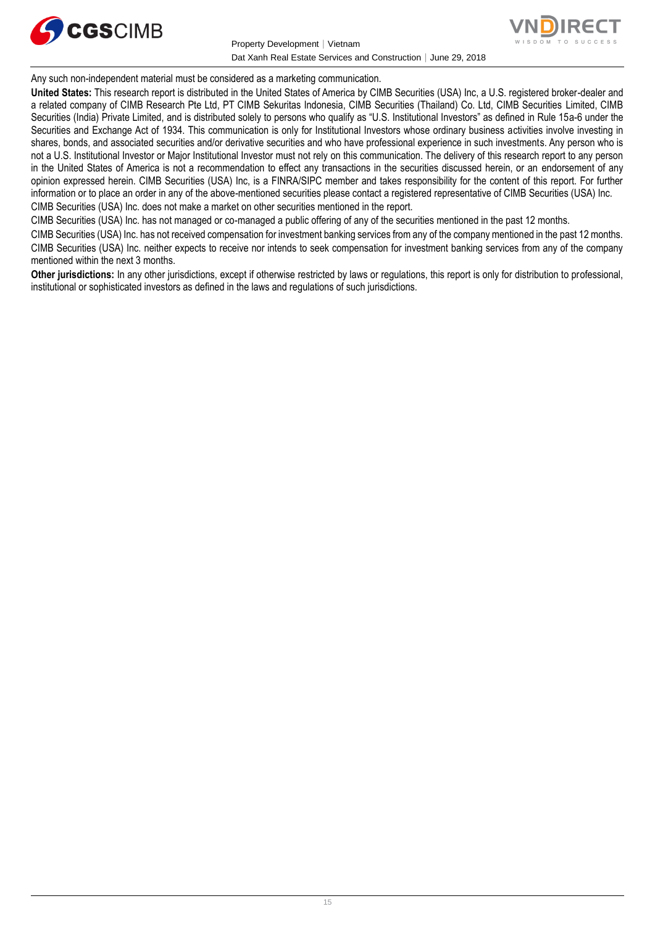

Property Development│Vietnam Dat Xanh Real Estate Services and Construction│June 29, 2018



Any such non-independent material must be considered as a marketing communication.

**United States:** This research report is distributed in the United States of America by CIMB Securities (USA) Inc, a U.S. registered broker-dealer and a related company of CIMB Research Pte Ltd, PT CIMB Sekuritas Indonesia, CIMB Securities (Thailand) Co. Ltd, CIMB Securities Limited, CIMB Securities (India) Private Limited, and is distributed solely to persons who qualify as "U.S. Institutional Investors" as defined in Rule 15a-6 under the Securities and Exchange Act of 1934. This communication is only for Institutional Investors whose ordinary business activities involve investing in shares, bonds, and associated securities and/or derivative securities and who have professional experience in such investments. Any person who is not a U.S. Institutional Investor or Major Institutional Investor must not rely on this communication. The delivery of this research report to any person in the United States of America is not a recommendation to effect any transactions in the securities discussed herein, or an endorsement of any opinion expressed herein. CIMB Securities (USA) Inc, is a FINRA/SIPC member and takes responsibility for the content of this report. For further information or to place an order in any of the above-mentioned securities please contact a registered representative of CIMB Securities (USA) Inc. CIMB Securities (USA) Inc. does not make a market on other securities mentioned in the report.

CIMB Securities (USA) Inc. has not managed or co-managed a public offering of any of the securities mentioned in the past 12 months.

CIMB Securities (USA) Inc. has not received compensation for investment banking services from any of the company mentioned in the past 12 months. CIMB Securities (USA) Inc. neither expects to receive nor intends to seek compensation for investment banking services from any of the company mentioned within the next 3 months.

**Other jurisdictions:** In any other jurisdictions, except if otherwise restricted by laws or regulations, this report is only for distribution to professional, institutional or sophisticated investors as defined in the laws and regulations of such jurisdictions.